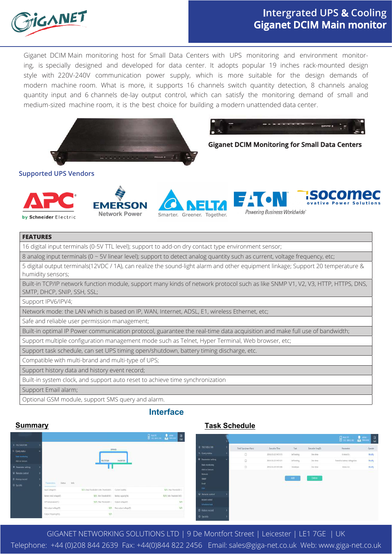

# **Intergrated UPS & Cooling Giganet DCIM Main monitor**

HSOCOMEC

Giganet DCIM Main monitoring host for Small Data Centers with UPS monitoring and environment monitoring, is specially designed and developed for data center. It adopts popular 19 inches rack-mounted design style with 220V-240V communication power supply, which is more suitable for the design demands of modern machine room. What is more, it supports 16 channels switch quantity detection, 8 channels analog quantity input and 6 channels de-lay output control, which can satisfy the monitoring demand of small and medium-sized machine room, it is the best choice for building a modern unattended data center.



**Giganet DCIM Monitoring for Small Data Centers**

Powering Business Worldwide

#### **Supported UPS Vendors**



**FMFRSON** Network Power

Smarter, Greener, Together.

## **FEATURES**

| FEATUNES                                                                                                                                                       |
|----------------------------------------------------------------------------------------------------------------------------------------------------------------|
| 16 digital input terminals (0-5V TTL level); support to add-on dry contact type environment sensor;                                                            |
| 8 analog input terminals (0 ~ 5V linear level); support to detect analog quantity such as current, voltage frequency, etc;                                     |
| 5 digital output terminals(12VDC / 1A), can realize the sound-light alarm and other equipment linkage; Support 20 temperature &<br>humidity sensors;           |
| Built-in TCP/IP network function module, support many kinds of network protocol such as like SNMP V1, V2, V3, HTTP, HTTPS, DNS,<br>SMTP, DHCP, SNIP, SSH, SSL; |
| Support IPV6/IPV4;                                                                                                                                             |
| Network mode: the LAN which is based on IP, WAN, Internet, ADSL, E1, wireless Ethernet, etc;                                                                   |
| Safe and reliable user permission management;                                                                                                                  |
| Built-in optimal IP Power communication protocol, guarantee the real-time data acquisition and make full use of bandwidth;                                     |
| Support multiple configuration management mode such as Telnet, Hyper Terminal, Web browser, etc;                                                               |
| Support task schedule, can set UPS timing open/shutdown, battery timing discharge, etc.                                                                        |
| Compatible with multi-brand and multi-type of UPS;                                                                                                             |
| Support history data and history event record;                                                                                                                 |
| Built-in system clock, and support auto reset to achieve time synchronization                                                                                  |
| Support Email alarm;                                                                                                                                           |

Optional GSM module, support SMS query and alarm.

### **Interface**

#### **Summary**

|                                                              |                          |                                    |                           | $\begin{tabular}{ c c c c } \hline & not $p$ & & & & & & & \\ \hline & not $p$ & & & & & & \\ \hline & not $p$ & & & & & & \\ \hline \end{tabular}$ | e<br>Бi                  |
|--------------------------------------------------------------|--------------------------|------------------------------------|---------------------------|-----------------------------------------------------------------------------------------------------------------------------------------------------|--------------------------|
| <b>Д</b> 192,158.0.100                                       |                          |                                    |                           |                                                                                                                                                     |                          |
| 9. Query status.<br><b>Main recenting</b><br>Add-on lineased |                          | RECTIFIER                          | <b>DYPASS</b><br>INVERTER |                                                                                                                                                     |                          |
| <b><i>O</i></b> Personal Letting                             |                          |                                    |                           |                                                                                                                                                     |                          |
| C Nemits control                                             |                          |                                    |                           |                                                                                                                                                     |                          |
| E History record                                             |                          |                                    |                           |                                                                                                                                                     |                          |
| $0.5$ is into                                                | Parameters Status        | $100$                              |                           |                                                                                                                                                     |                          |
|                                                              | Haut softwart/):         | N/A (Max Theyhold) [Min Thephold)] | Current busiting:         |                                                                                                                                                     | N/A (Mai/Thredokin)      |
|                                                              | liatiny total sobage(V): | N/A (Min Threshold ST)             | Tuttery supacity(S):      |                                                                                                                                                     | N/A ( his Thrubold 100 ) |
|                                                              | UPS temperature("C)      | N/A (Max Threshold) 1              | Output enhap(M)           |                                                                                                                                                     | N/A                      |
|                                                              | Winsetpot sollage(V)     | <b>BAAR</b>                        | Macoutani voltage(V).     |                                                                                                                                                     | <b>BVA</b>               |
|                                                              | Output Respiraçõis (E)   | WA.                                |                           |                                                                                                                                                     |                          |

## **Task Schedule**

|                                                               |   |                        |                       |                     |                         | $\begin{array}{ c c }\hline \multicolumn{3}{ }{\hspace{1.5em}}\multicolumn{3}{ }{\hspace{1.5em}}\multicolumn{3}{ }{\hspace{1.5em}}\multicolumn{3}{ }{\hspace{1.5em}}\hline \multicolumn{3}{ }{\hspace{1.5em}}\hline \multicolumn{3}{ }{\hspace{1.5em}}\hline \multicolumn{3}{ }{\hspace{1.5em}}\hline \multicolumn{3}{ }{\hspace{1.5em}}\hline \multicolumn{3}{ }{\hspace{1.5em}}\hline \multicolumn{3}{ }{\hspace{1.5em}}\hline \multicolumn{3$ | $\frac{\Box}{\Box}$<br>$\begin{array}{c} \bullet\hspace{-6pt}\bullet\hspace{-6pt}\bullet\hspace{-6pt}\bullet\hspace{-6pt}\bullet\hspace{-6pt}\bullet\hspace{-6pt}\bullet\hspace{-6pt}\bullet\hspace{-6pt}\bullet\hspace{-6pt}\bullet\hspace{-6pt}\bullet\hspace{-6pt}\bullet\hspace{-6pt}\bullet\hspace{-6pt}\bullet\hspace{-6pt}\bullet\hspace{-6pt}\bullet\hspace{-6pt}\bullet\hspace{-6pt}\bullet\hspace{-6pt}\bullet\hspace{-6pt}\bullet\hspace{-6pt}\bullet\hspace{-6pt}\bullet\hspace{-6pt}\bullet\hspace{-6pt}\bullet\hspace{-6pt}\bullet\hspace{-6pt}\bullet\hspace{-6pt}\bullet\hspace$ |
|---------------------------------------------------------------|---|------------------------|-----------------------|---------------------|-------------------------|--------------------------------------------------------------------------------------------------------------------------------------------------------------------------------------------------------------------------------------------------------------------------------------------------------------------------------------------------------------------------------------------------------------------------------------------------|--------------------------------------------------------------------------------------------------------------------------------------------------------------------------------------------------------------------------------------------------------------------------------------------------------------------------------------------------------------------------------------------------------------------------------------------------------------------------------------------------------------------------------------------------------------------------------------------------|
| 192.168.0.100                                                 |   | Total 3 projetex 10pmg | <b>Executive Time</b> | Talk                | <b>Densitive Forg3h</b> | Racanetera                                                                                                                                                                                                                                                                                                                                                                                                                                       | Operate                                                                                                                                                                                                                                                                                                                                                                                                                                                                                                                                                                                          |
| <b>Query status</b>                                           |   | $\Box$                 | 2016-03-22 14:53:15   | <b>Self testing</b> | One-ten-                | 0.min.10 s.                                                                                                                                                                                                                                                                                                                                                                                                                                      | Modify                                                                                                                                                                                                                                                                                                                                                                                                                                                                                                                                                                                           |
| <b>Personator setting</b>                                     | ٠ | b                      | 2016-03-211451:21     | Self texting        | One-time                | Tested to bettery voltage line                                                                                                                                                                                                                                                                                                                                                                                                                   | Modify                                                                                                                                                                                                                                                                                                                                                                                                                                                                                                                                                                                           |
| Main monitoring<br>AM-on Sentori                              |   | ö                      | 2016-01-24 14:51:41   | <b>Shadown</b>      | Ore-time                | Inisi tis                                                                                                                                                                                                                                                                                                                                                                                                                                        | <b>Madity</b><br><b>Participants</b>                                                                                                                                                                                                                                                                                                                                                                                                                                                                                                                                                             |
| <b>Terbacek</b><br>SNAID<br>Enail<br>lier.                    |   |                        |                       | Md                  | Detete                  |                                                                                                                                                                                                                                                                                                                                                                                                                                                  |                                                                                                                                                                                                                                                                                                                                                                                                                                                                                                                                                                                                  |
| <b>Renote control</b><br><b>Internotes</b><br>Schemaket (ask) |   |                        |                       |                     |                         |                                                                                                                                                                                                                                                                                                                                                                                                                                                  |                                                                                                                                                                                                                                                                                                                                                                                                                                                                                                                                                                                                  |
| <b>History record</b><br>Charles Co.                          |   |                        |                       |                     |                         |                                                                                                                                                                                                                                                                                                                                                                                                                                                  |                                                                                                                                                                                                                                                                                                                                                                                                                                                                                                                                                                                                  |

GIGANET NETWORKING SOLUTIONS LTD | 9 De Montfort Street | Leicester | LE1 7GE | UK Telephone: +44 (0)208 844 2639 Fax: +44(0)844 822 2456 Email: sales@giga-net.co.uk Web: www.giga-net.co.uk